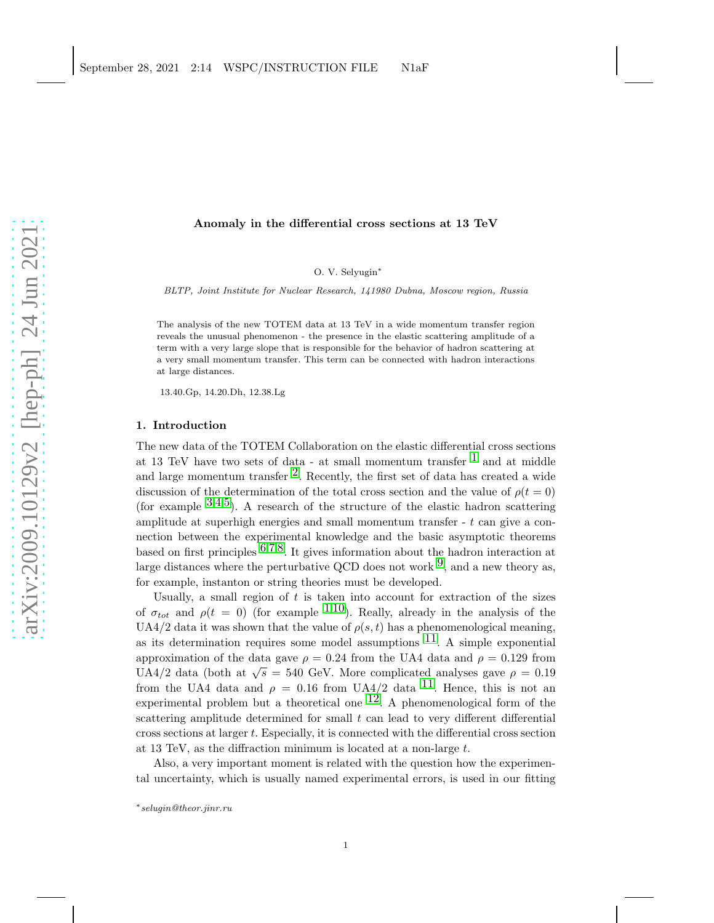## Anomaly in the differential cross sections at 13 TeV

O. V. Selyugin<sup>∗</sup>

BLTP, Joint Institute for Nuclear Research, 141980 Dubna, Moscow region, Russia

The analysis of the new TOTEM data at 13 TeV in a wide momentum transfer region reveals the unusual phenomenon - the presence in the elastic scattering amplitude of a term with a very large slope that is responsible for the behavior of hadron scattering at a very small momentum transfer. This term can be connected with hadron interactions at large distances.

13.40.Gp, 14.20.Dh, 12.38.Lg

#### 1. Introduction

The new data of the TOTEM Collaboration on the elastic differential cross sections at [1](#page-15-0)3 TeV have two sets of data - at small momentum transfer  $<sup>1</sup>$  and at middle</sup> and large momentum transfer  $^2$ . Recently, the first set of data has created a wide discussion of the determination of the total cross section and the value of  $\rho(t=0)$ (for example  $3,4,5$  $3,4,5$  $3,4,5$  $3,4,5$ ). A research of the structure of the elastic hadron scattering amplitude at superhigh energies and small momentum transfer  $- t$  can give a connection between the experimental knowledge and the basic asymptotic theorems based on first principles  $6,7,8$  $6,7,8$  $6,7,8$  $6,7,8$ . It gives information about the hadron interaction at large distances where the perturbative QCD does not work  $9$ , and a new theory as, for example, instanton or string theories must be developed.

Usually, a small region of  $t$  is taken into account for extraction of the sizes of  $\sigma_{tot}$  and  $\rho(t = 0)$  (for example <sup>[1](#page-15-0),10</sup>). Really, already in the analysis of the UA4/2 data it was shown that the value of  $\rho(s, t)$  has a phenomenological meaning, as its determination requires some model assumptions  $11$ . A simple exponential approximation of the data gave  $\rho = 0.24$  from the UA4 data and  $\rho = 0.129$  from UA4/2 data (both at  $\sqrt{s}$  = 540 GeV. More complicated analyses gave  $\rho = 0.19$ from the UA4 data and  $\rho = 0.16$  from UA4/2 data  $^{11}$ . Hence, this is not an experimental problem but a theoretical one  $12$ . A phenomenological form of the scattering amplitude determined for small  $t$  can lead to very different differential cross sections at larger t. Especially, it is connected with the differential cross section at 13 TeV, as the diffraction minimum is located at a non-large t.

Also, a very important moment is related with the question how the experimental uncertainty, which is usually named experimental errors, is used in our fitting

<sup>∗</sup> selugin@theor.jinr.ru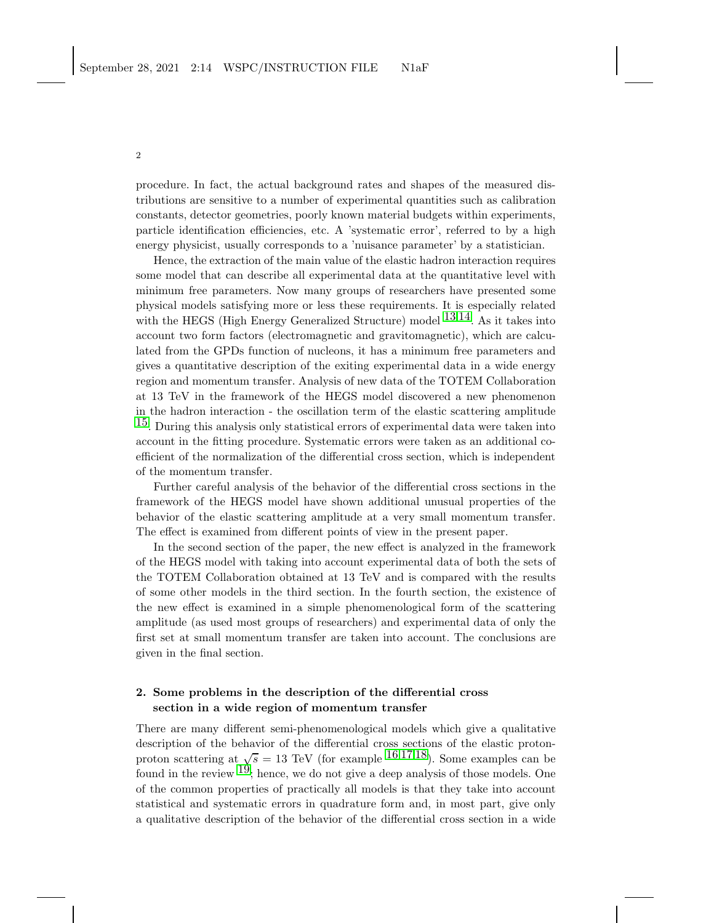procedure. In fact, the actual background rates and shapes of the measured distributions are sensitive to a number of experimental quantities such as calibration constants, detector geometries, poorly known material budgets within experiments, particle identification efficiencies, etc. A 'systematic error', referred to by a high energy physicist, usually corresponds to a 'nuisance parameter' by a statistician.

Hence, the extraction of the main value of the elastic hadron interaction requires some model that can describe all experimental data at the quantitative level with minimum free parameters. Now many groups of researchers have presented some physical models satisfying more or less these requirements. It is especially related with the HEGS (High Energy Generalized Structure) model  $13,14$  $13,14$ . As it takes into account two form factors (electromagnetic and gravitomagnetic), which are calculated from the GPDs function of nucleons, it has a minimum free parameters and gives a quantitative description of the exiting experimental data in a wide energy region and momentum transfer. Analysis of new data of the TOTEM Collaboration at 13 TeV in the framework of the HEGS model discovered a new phenomenon in the hadron interaction - the oscillation term of the elastic scattering amplitude <sup>15</sup>. During this analysis only statistical errors of experimental data were taken into account in the fitting procedure. Systematic errors were taken as an additional coefficient of the normalization of the differential cross section, which is independent of the momentum transfer.

Further careful analysis of the behavior of the differential cross sections in the framework of the HEGS model have shown additional unusual properties of the behavior of the elastic scattering amplitude at a very small momentum transfer. The effect is examined from different points of view in the present paper.

In the second section of the paper, the new effect is analyzed in the framework of the HEGS model with taking into account experimental data of both the sets of the TOTEM Collaboration obtained at 13 TeV and is compared with the results of some other models in the third section. In the fourth section, the existence of the new effect is examined in a simple phenomenological form of the scattering amplitude (as used most groups of researchers) and experimental data of only the first set at small momentum transfer are taken into account. The conclusions are given in the final section.

# 2. Some problems in the description of the differential cross section in a wide region of momentum transfer

There are many different semi-phenomenological models which give a qualitative description of the behavior of the differential cross sections of the elastic protonproton scattering at  $\sqrt{s} = 13$  TeV (for example [16](#page-16-2),[17](#page-16-3),[18\)](#page-16-4). Some examples can be found in the review  $19$ ; hence, we do not give a deep analysis of those models. One of the common properties of practically all models is that they take into account statistical and systematic errors in quadrature form and, in most part, give only a qualitative description of the behavior of the differential cross section in a wide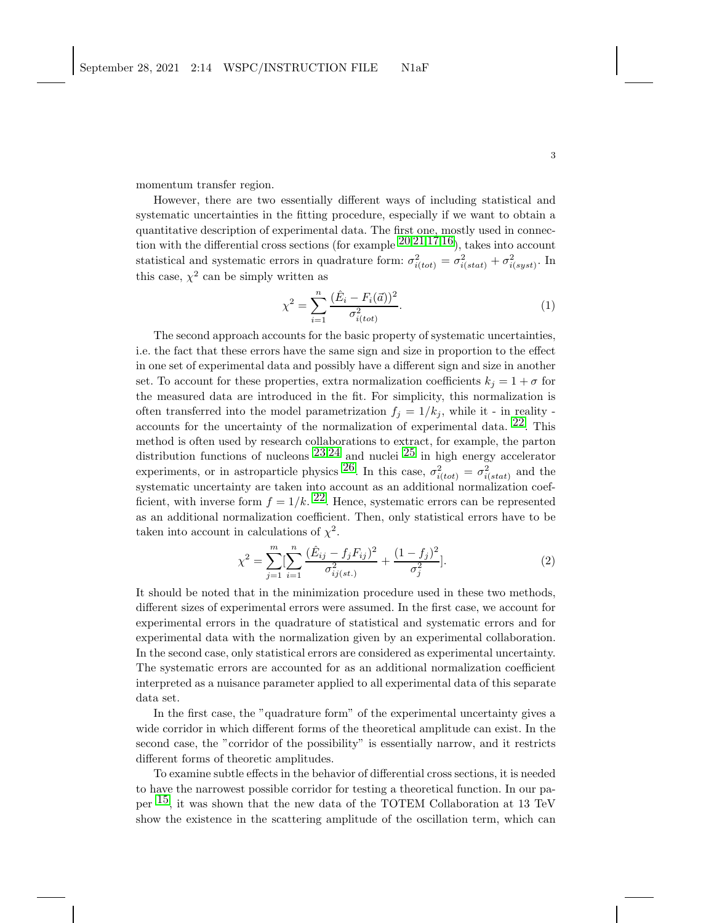momentum transfer region.

However, there are two essentially different ways of including statistical and systematic uncertainties in the fitting procedure, especially if we want to obtain a quantitative description of experimental data. The first one, mostly used in connection with the differential cross sections (for example  $20,21,17,16$  $20,21,17,16$  $20,21,17,16$  $20,21,17,16$  $20,21,17,16$  $20,21,17,16$ ), takes into account statistical and systematic errors in quadrature form:  $\sigma_{i(tot)}^2 = \sigma_{i(stat)}^2 + \sigma_{i(syst)}^2$ . In this case,  $\chi^2$  can be simply written as

$$
\chi^2 = \sum_{i=1}^n \frac{(\hat{E}_i - F_i(\vec{a}))^2}{\sigma_{i(tot)}^2}.
$$
 (1)

The second approach accounts for the basic property of systematic uncertainties, i.e. the fact that these errors have the same sign and size in proportion to the effect in one set of experimental data and possibly have a different sign and size in another set. To account for these properties, extra normalization coefficients  $k_i = 1 + \sigma$  for the measured data are introduced in the fit. For simplicity, this normalization is often transferred into the model parametrization  $f_j = 1/k_j$ , while it - in reality accounts for the uncertainty of the normalization of experimental data.  $22$ . This method is often used by research collaborations to extract, for example, the parton distribution functions of nucleons  $23.24$  $23.24$  $23.24$  and nuclei  $25$  in high energy accelerator experiments, or in astroparticle physics  $^{26}$ . In this case,  $\sigma_{i(tot)}^2 = \sigma_{i(stat)}^2$  and the systematic uncertainty are taken into account as an additional normalization coefficient, with inverse form  $f = 1/k$ . <sup>22</sup>. Hence, systematic errors can be represented as an additional normalization coefficient. Then, only statistical errors have to be taken into account in calculations of  $\chi^2$ .

$$
\chi^2 = \sum_{j=1}^m \left[ \sum_{i=1}^n \frac{(\hat{E}_{ij} - f_j F_{ij})^2}{\sigma_{ij(st.)}^2} + \frac{(1 - f_j)^2}{\sigma_j^2} \right].
$$
 (2)

It should be noted that in the minimization procedure used in these two methods, different sizes of experimental errors were assumed. In the first case, we account for experimental errors in the quadrature of statistical and systematic errors and for experimental data with the normalization given by an experimental collaboration. In the second case, only statistical errors are considered as experimental uncertainty. The systematic errors are accounted for as an additional normalization coefficient interpreted as a nuisance parameter applied to all experimental data of this separate data set.

In the first case, the "quadrature form" of the experimental uncertainty gives a wide corridor in which different forms of the theoretical amplitude can exist. In the second case, the "corridor of the possibility" is essentially narrow, and it restricts different forms of theoretic amplitudes.

To examine subtle effects in the behavior of differential cross sections, it is needed to have the narrowest possible corridor for testing a theoretical function. In our paper [15,](#page-16-1) it was shown that the new data of the TOTEM Collaboration at 13 TeV show the existence in the scattering amplitude of the oscillation term, which can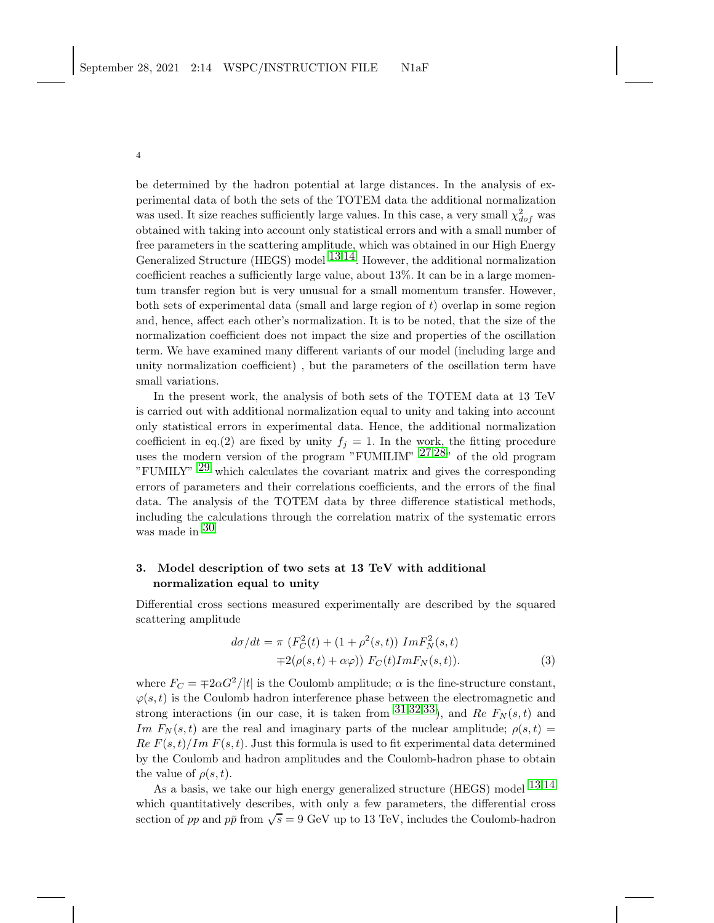be determined by the hadron potential at large distances. In the analysis of experimental data of both the sets of the TOTEM data the additional normalization was used. It size reaches sufficiently large values. In this case, a very small  $\chi^2_{dof}$  was obtained with taking into account only statistical errors and with a small number of free parameters in the scattering amplitude, which was obtained in our High Energy Generalized Structure (HEGS) model [13](#page-15-12),[14.](#page-16-0) However, the additional normalization coefficient reaches a sufficiently large value, about 13%. It can be in a large momentum transfer region but is very unusual for a small momentum transfer. However, both sets of experimental data (small and large region of  $t$ ) overlap in some region and, hence, affect each other's normalization. It is to be noted, that the size of the normalization coefficient does not impact the size and properties of the oscillation term. We have examined many different variants of our model (including large and unity normalization coefficient) , but the parameters of the oscillation term have small variations.

In the present work, the analysis of both sets of the TOTEM data at 13 TeV is carried out with additional normalization equal to unity and taking into account only statistical errors in experimental data. Hence, the additional normalization coefficient in eq.(2) are fixed by unity  $f_j = 1$ . In the work, the fitting procedure uses the modern version of the program "FUMILIM"  $27.28$  $27.28$ " of the old program "FUMILY"  $29$  which calculates the covariant matrix and gives the corresponding errors of parameters and their correlations coefficients, and the errors of the final data. The analysis of the TOTEM data by three difference statistical methods, including the calculations through the correlation matrix of the systematic errors was made in  $30$ 

# 3. Model description of two sets at 13 TeV with additional normalization equal to unity

Differential cross sections measured experimentally are described by the squared scattering amplitude

$$
d\sigma/dt = \pi \left( F_C^2(t) + (1 + \rho^2(s, t)) \ ImF_N^2(s, t) \right)
$$
  
 
$$
\mp 2(\rho(s, t) + \alpha \varphi) \ F_C(t) ImF_N(s, t).
$$
 (3)

where  $F_C = \pm 2\alpha G^2/|t|$  is the Coulomb amplitude;  $\alpha$  is the fine-structure constant,  $\varphi(s, t)$  is the Coulomb hadron interference phase between the electromagnetic and strong interactions (in our case, it is taken from  $31,32,33$  $31,32,33$  $31,32,33$  $31,32,33$ ), and Re  $F_N(s,t)$  and Im  $F_N(s,t)$  are the real and imaginary parts of the nuclear amplitude;  $\rho(s,t)$  $Re F(s,t)/Im F(s,t)$ . Just this formula is used to fit experimental data determined by the Coulomb and hadron amplitudes and the Coulomb-hadron phase to obtain the value of  $\rho(s,t)$ .

As a basis, we take our high energy generalized structure (HEGS) model  $13,14$  $13,14$  $13,14$ which quantitatively describes, with only a few parameters, the differential cross section of pp and  $p\bar{p}$  from  $\sqrt{s} = 9$  GeV up to 13 TeV, includes the Coulomb-hadron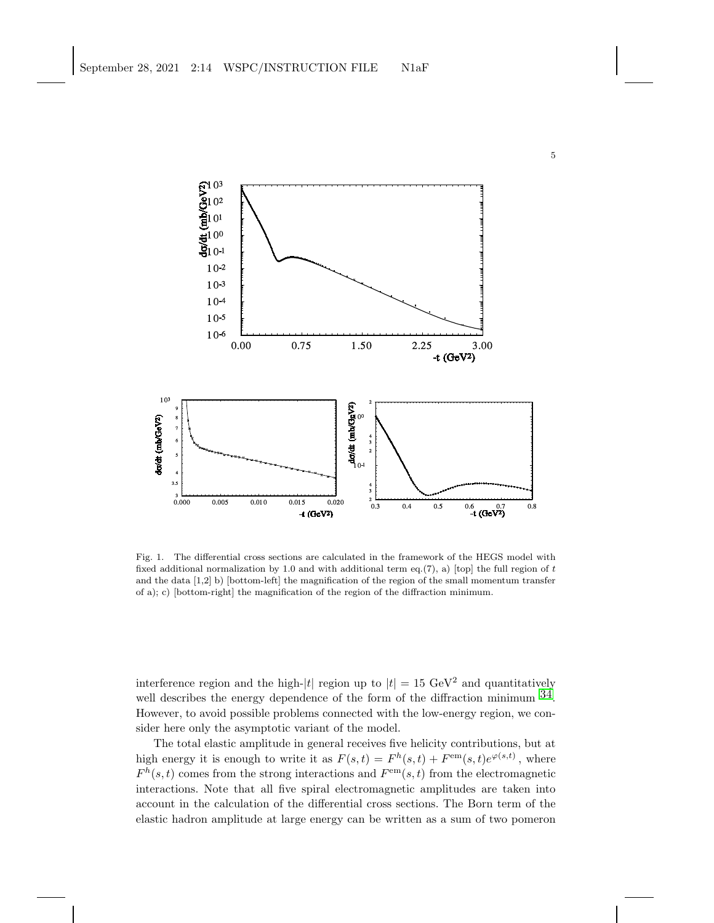

Fig. 1. The differential cross sections are calculated in the framework of the HEGS model with fixed additional normalization by 1.0 and with additional term eq.(7), a) [top] the full region of  $t$ and the data  $[1,2]$  b) [bottom-left] the magnification of the region of the small momentum transfer of a); c) [bottom-right] the magnification of the region of the diffraction minimum.

interference region and the high- $|t|$  region up to  $|t| = 15 \text{ GeV}^2$  and quantitatively well describes the energy dependence of the form of the diffraction minimum  $34$ . However, to avoid possible problems connected with the low-energy region, we consider here only the asymptotic variant of the model.

The total elastic amplitude in general receives five helicity contributions, but at high energy it is enough to write it as  $F(s,t) = F^h(s,t) + F^{\text{em}}(s,t)e^{\varphi(s,t)}$ , where  $F^h(s,t)$  comes from the strong interactions and  $F^{em}(s,t)$  from the electromagnetic interactions. Note that all five spiral electromagnetic amplitudes are taken into account in the calculation of the differential cross sections. The Born term of the elastic hadron amplitude at large energy can be written as a sum of two pomeron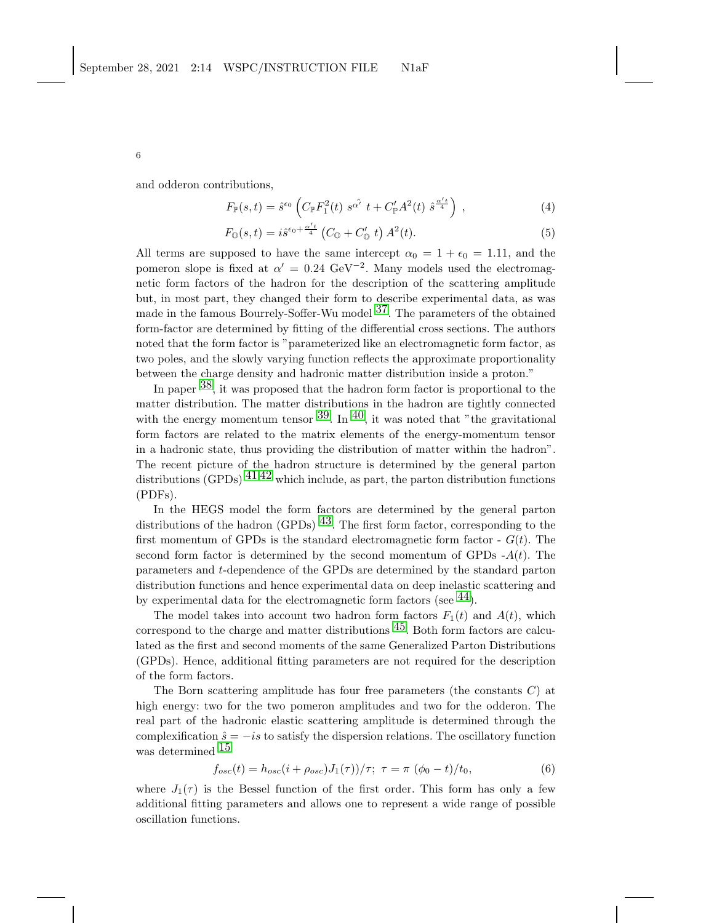and odderon contributions,

$$
F_{\mathbb{P}}(s,t) = \hat{s}^{\epsilon_0} \left( C_{\mathbb{P}} F_1^2(t) \ s^{\alpha^{\gamma}} \ t + C_{\mathbb{P}}' A^2(t) \ \hat{s}^{\frac{\alpha' t}{4}} \right) \,, \tag{4}
$$

$$
F_{\mathbb{Q}}(s,t) = i\hat{s}^{\epsilon_0 + \frac{\alpha' t}{4}} \left( C_{\mathbb{Q}} + C_{\mathbb{Q}}' \ t \right) A^2(t). \tag{5}
$$

All terms are supposed to have the same intercept  $\alpha_0 = 1 + \epsilon_0 = 1.11$ , and the pomeron slope is fixed at  $\alpha' = 0.24 \text{ GeV}^{-2}$ . Many models used the electromagnetic form factors of the hadron for the description of the scattering amplitude but, in most part, they changed their form to describe experimental data, as was made in the famous Bourrely-Soffer-Wu model  $37$ . The parameters of the obtained form-factor are determined by fitting of the differential cross sections. The authors noted that the form factor is "parameterized like an electromagnetic form factor, as two poles, and the slowly varying function reflects the approximate proportionality between the charge density and hadronic matter distribution inside a proton."

In paper  $38$ , it was proposed that the hadron form factor is proportional to the matter distribution. The matter distributions in the hadron are tightly connected with the energy momentum tensor  $39$ . In  $40$ , it was noted that "the gravitational form factors are related to the matrix elements of the energy-momentum tensor in a hadronic state, thus providing the distribution of matter within the hadron". The recent picture of the hadron structure is determined by the general parton distributions (GPDs)  $41.42$  $41.42$  $41.42$  which include, as part, the parton distribution functions (PDFs).

In the HEGS model the form factors are determined by the general parton distributions of the hadron (GPDs)  $^{43}$ . The first form factor, corresponding to the first momentum of GPDs is the standard electromagnetic form factor  $-G(t)$ . The second form factor is determined by the second momentum of GPDs  $-A(t)$ . The parameters and t-dependence of the GPDs are determined by the standard parton distribution functions and hence experimental data on deep inelastic scattering and by experimental data for the electromagnetic form factors (see  $^{44}$ ).

The model takes into account two hadron form factors  $F_1(t)$  and  $A(t)$ , which correspond to the charge and matter distributions  $45$ . Both form factors are calculated as the first and second moments of the same Generalized Parton Distributions (GPDs). Hence, additional fitting parameters are not required for the description of the form factors.

The Born scattering amplitude has four free parameters (the constants C) at high energy: two for the two pomeron amplitudes and two for the odderon. The real part of the hadronic elastic scattering amplitude is determined through the complexification  $\hat{s} = -is$  to satisfy the dispersion relations. The oscillatory function was determined  $15$ 

$$
f_{osc}(t) = h_{osc}(i + \rho_{osc})J_1(\tau) / \tau; \ \tau = \pi \ (\phi_0 - t) / t_0,
$$
\n(6)

where  $J_1(\tau)$  is the Bessel function of the first order. This form has only a few additional fitting parameters and allows one to represent a wide range of possible oscillation functions.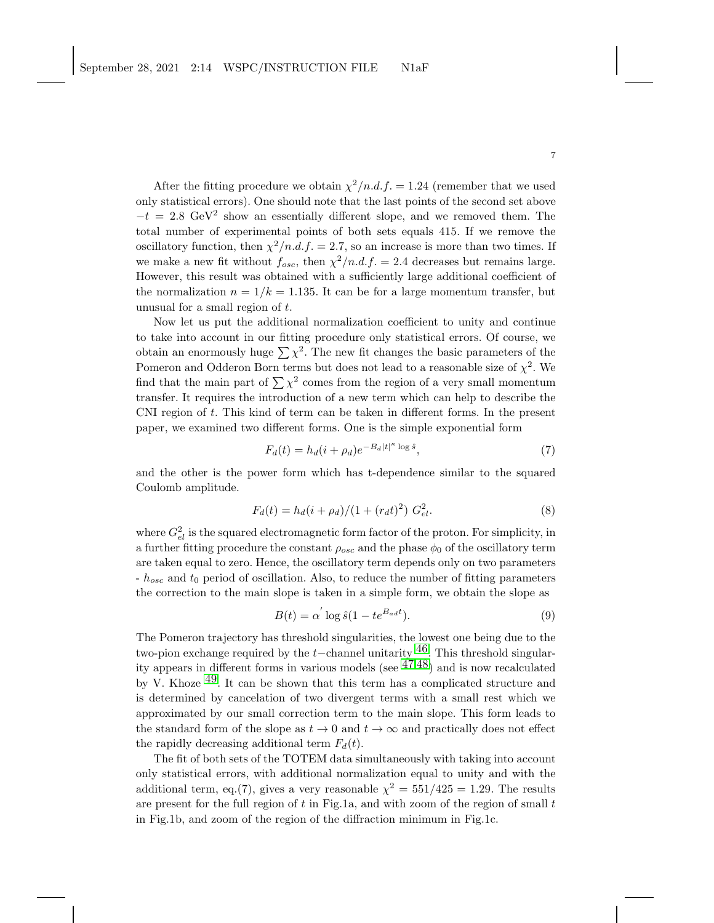After the fitting procedure we obtain  $\chi^2/n.d.f. = 1.24$  (remember that we used only statistical errors). One should note that the last points of the second set above  $-t = 2.8 \text{ GeV}^2$  show an essentially different slope, and we removed them. The total number of experimental points of both sets equals 415. If we remove the oscillatory function, then  $\chi^2/n.d.f. = 2.7$ , so an increase is more than two times. If we make a new fit without  $f_{osc}$ , then  $\chi^2/n.d.f. = 2.4$  decreases but remains large. However, this result was obtained with a sufficiently large additional coefficient of the normalization  $n = 1/k = 1.135$ . It can be for a large momentum transfer, but unusual for a small region of t.

Now let us put the additional normalization coefficient to unity and continue to take into account in our fitting procedure only statistical errors. Of course, we obtain an enormously huge  $\sum \chi^2$ . The new fit changes the basic parameters of the Pomeron and Odderon Born terms but does not lead to a reasonable size of  $\chi^2$ . We find that the main part of  $\sum \chi^2$  comes from the region of a very small momentum transfer. It requires the introduction of a new term which can help to describe the CNI region of t. This kind of term can be taken in different forms. In the present paper, we examined two different forms. One is the simple exponential form

$$
F_d(t) = h_d(i + \rho_d)e^{-B_d|t|^{\kappa} \log \hat{s}},\tag{7}
$$

and the other is the power form which has t-dependence similar to the squared Coulomb amplitude.

$$
F_d(t) = h_d(i + \rho_d)/(1 + (r_d t)^2) G_{el}^2.
$$
 (8)

where  $G_{el}^2$  is the squared electromagnetic form factor of the proton. For simplicity, in a further fitting procedure the constant  $\rho_{osc}$  and the phase  $\phi_0$  of the oscillatory term are taken equal to zero. Hence, the oscillatory term depends only on two parameters  $-h_{osc}$  and  $t_0$  period of oscillation. Also, to reduce the number of fitting parameters the correction to the main slope is taken in a simple form, we obtain the slope as

$$
B(t) = \alpha^{'} \log \hat{s} (1 - te^{B_{ad}t}).
$$
\n(9)

The Pomeron trajectory has threshold singularities, the lowest one being due to the two-pion exchange required by the t−channel unitarity  $46$ . This threshold singularity appears in different forms in various models (see  $\frac{47,48}{2}$  $\frac{47,48}{2}$  $\frac{47,48}{2}$ ) and is now recalculated by V. Khoze  $49$ . It can be shown that this term has a complicated structure and is determined by cancelation of two divergent terms with a small rest which we approximated by our small correction term to the main slope. This form leads to the standard form of the slope as  $t \to 0$  and  $t \to \infty$  and practically does not effect the rapidly decreasing additional term  $F_d(t)$ .

The fit of both sets of the TOTEM data simultaneously with taking into account only statistical errors, with additional normalization equal to unity and with the additional term, eq.(7), gives a very reasonable  $\chi^2 = 551/425 = 1.29$ . The results are present for the full region of  $t$  in Fig.1a, and with zoom of the region of small  $t$ in Fig.1b, and zoom of the region of the diffraction minimum in Fig.1c.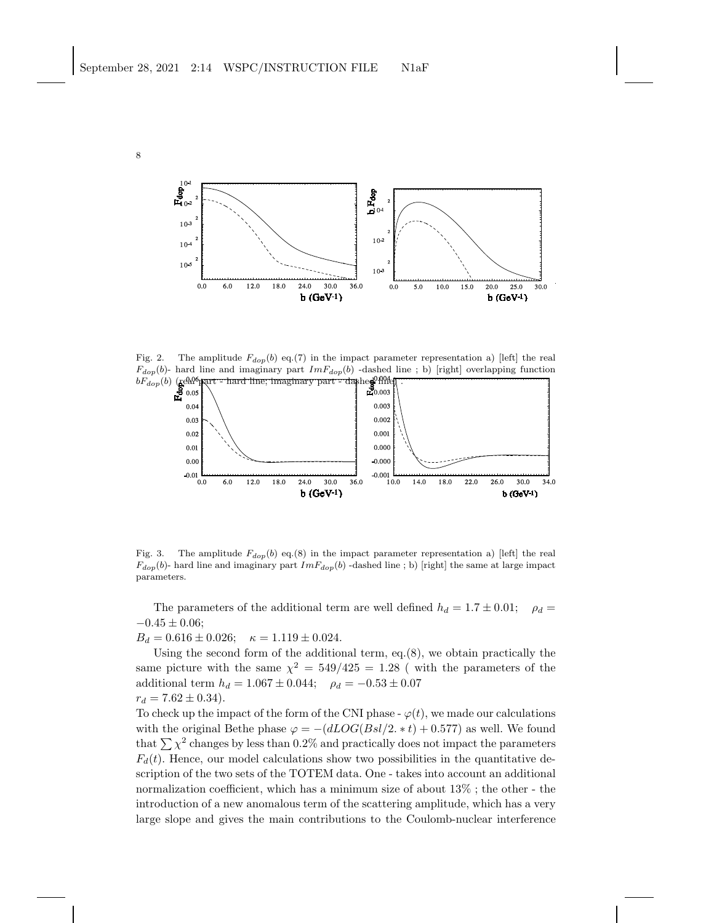

Fig. 2. The amplitude  $F_{dop}(b)$  eq.(7) in the impact parameter representation a) [left] the real  $F_{dop}(b)$ - hard line and imaginary part  $ImF_{dop}(b)$ -dashed line ; b) [right] overlapping function  $bF_{dop}(b)$  (**x**ea<sup>0</sup>part - hard line; imaginary part - dashed line; computed in the set of the set of the set of the set of



Fig. 3. The amplitude  $F_{dop}(b)$  eq.(8) in the impact parameter representation a) [left] the real  $F_{don}(b)$ - hard line and imaginary part  $ImF_{don}(b)$ -dashed line; b) [right] the same at large impact parameters.

The parameters of the additional term are well defined  $h_d = 1.7 \pm 0.01$ ;  $\rho_d =$  $-0.45 \pm 0.06$ ;

 $B_d = 0.616 \pm 0.026; \quad \kappa = 1.119 \pm 0.024.$ 

Using the second form of the additional term, eq.(8), we obtain practically the same picture with the same  $\chi^2 = 549/425 = 1.28$  (with the parameters of the additional term  $h_d = 1.067 \pm 0.044; \quad \rho_d = -0.53 \pm 0.07$  $r_d = 7.62 \pm 0.34$ .

To check up the impact of the form of the CNI phase -  $\varphi(t)$ , we made our calculations with the original Bethe phase  $\varphi = -(dLOG(Bsl/2.*t) + 0.577)$  as well. We found that  $\sum \chi^2$  changes by less than 0.2% and practically does not impact the parameters  $F_d(t)$ . Hence, our model calculations show two possibilities in the quantitative description of the two sets of the TOTEM data. One - takes into account an additional normalization coefficient, which has a minimum size of about 13% ; the other - the introduction of a new anomalous term of the scattering amplitude, which has a very large slope and gives the main contributions to the Coulomb-nuclear interference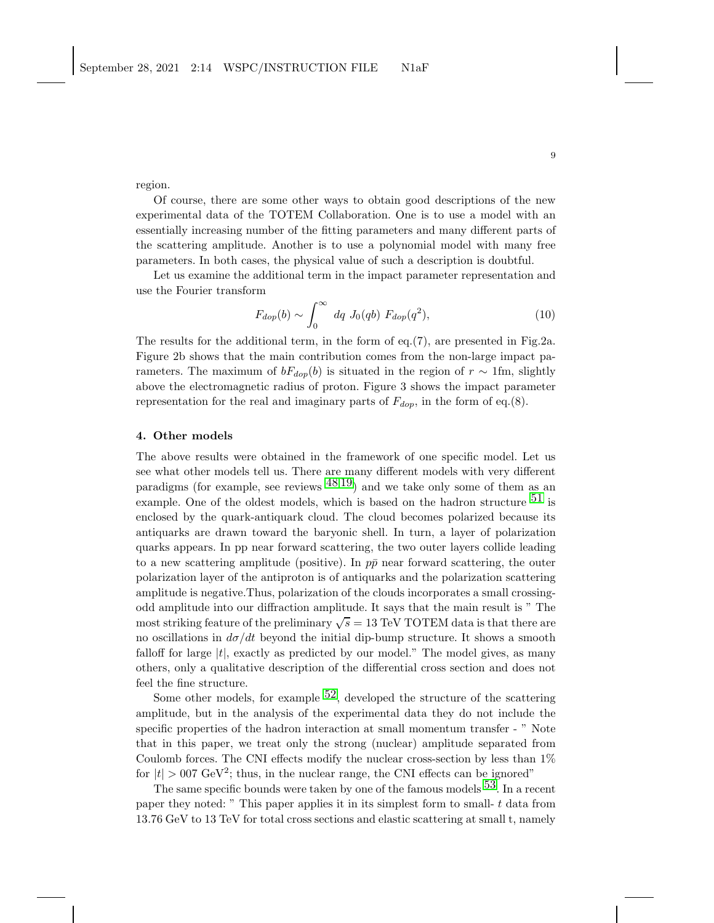region.

Of course, there are some other ways to obtain good descriptions of the new experimental data of the TOTEM Collaboration. One is to use a model with an essentially increasing number of the fitting parameters and many different parts of the scattering amplitude. Another is to use a polynomial model with many free parameters. In both cases, the physical value of such a description is doubtful.

Let us examine the additional term in the impact parameter representation and use the Fourier transform

$$
F_{dop}(b) \sim \int_0^\infty dq J_0(qb) F_{dop}(q^2),\tag{10}
$$

The results for the additional term, in the form of eq.  $(7)$ , are presented in Fig.2a. Figure 2b shows that the main contribution comes from the non-large impact parameters. The maximum of  $bF_{dop}(b)$  is situated in the region of  $r \sim 1$ fm, slightly above the electromagnetic radius of proton. Figure 3 shows the impact parameter representation for the real and imaginary parts of  $F_{dop}$ , in the form of eq.(8).

#### 4. Other models

The above results were obtained in the framework of one specific model. Let us see what other models tell us. There are many different models with very different paradigms (for example, see reviews  $48,19$  $48,19$ ) and we take only some of them as an example. One of the oldest models, which is based on the hadron structure  $51$  is enclosed by the quark-antiquark cloud. The cloud becomes polarized because its antiquarks are drawn toward the baryonic shell. In turn, a layer of polarization quarks appears. In pp near forward scattering, the two outer layers collide leading to a new scattering amplitude (positive). In  $p\bar{p}$  near forward scattering, the outer polarization layer of the antiproton is of antiquarks and the polarization scattering amplitude is negative.Thus, polarization of the clouds incorporates a small crossingodd amplitude into our diffraction amplitude. It says that the main result is " The most striking feature of the preliminary  $\sqrt{s} = 13 \text{ TeV}$  TOTEM data is that there are no oscillations in  $d\sigma/dt$  beyond the initial dip-bump structure. It shows a smooth falloff for large  $|t|$ , exactly as predicted by our model." The model gives, as many others, only a qualitative description of the differential cross section and does not feel the fine structure.

Some other models, for example  $52$ , developed the structure of the scattering amplitude, but in the analysis of the experimental data they do not include the specific properties of the hadron interaction at small momentum transfer - " Note that in this paper, we treat only the strong (nuclear) amplitude separated from Coulomb forces. The CNI effects modify the nuclear cross-section by less than 1% for  $|t| > 0.07 \text{ GeV}^2$ ; thus, in the nuclear range, the CNI effects can be ignored"

The same specific bounds were taken by one of the famous models <sup>53</sup>. In a recent paper they noted: " This paper applies it in its simplest form to small- t data from 13.76 GeV to 13 TeV for total cross sections and elastic scattering at small t, namely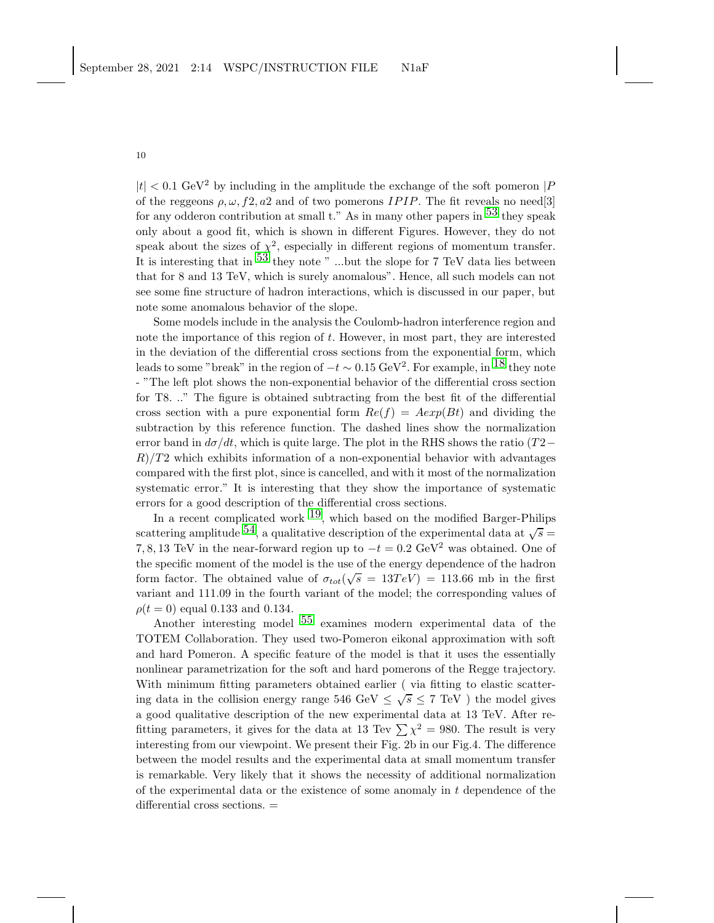$|t| < 0.1$  GeV<sup>2</sup> by including in the amplitude the exchange of the soft pomeron |P of the reggeons  $\rho, \omega, f2, a2$  and of two pomerons *IPIP*. The fit reveals no need[3] for any odderon contribution at small t." As in many other papers in  $53$  they speak only about a good fit, which is shown in different Figures. However, they do not speak about the sizes of  $\chi^2$ , especially in different regions of momentum transfer. It is interesting that in  $53$  they note " ...but the slope for 7 TeV data lies between that for 8 and 13 TeV, which is surely anomalous". Hence, all such models can not see some fine structure of hadron interactions, which is discussed in our paper, but note some anomalous behavior of the slope.

Some models include in the analysis the Coulomb-hadron interference region and note the importance of this region of t. However, in most part, they are interested in the deviation of the differential cross sections from the exponential form, which leads to some "break" in the region of  $-t \sim 0.15 \,\mathrm{GeV^2}$ . For example, in <sup>[18](#page-16-4)</sup> they note - "The left plot shows the non-exponential behavior of the differential cross section for T8. .." The figure is obtained subtracting from the best fit of the differential cross section with a pure exponential form  $Re(f) = Aexp(Bt)$  and dividing the subtraction by this reference function. The dashed lines show the normalization error band in  $d\sigma/dt$ , which is quite large. The plot in the RHS shows the ratio (T2−  $R/T2$  which exhibits information of a non-exponential behavior with advantages compared with the first plot, since is cancelled, and with it most of the normalization systematic error." It is interesting that they show the importance of systematic errors for a good description of the differential cross sections.

In a recent complicated work  $19$ , which based on the modified Barger-Philips scattering amplitude <sup>54</sup>, a qualitative description of the experimental data at  $\sqrt{s}$  = 7, 8, 13 TeV in the near-forward region up to  $-t = 0.2 \text{ GeV}^2$  was obtained. One of the specific moment of the model is the use of the energy dependence of the hadron form factor. The obtained value of  $\sigma_{tot}(\sqrt{s} = 13 TeV) = 113.66$  mb in the first variant and 111.09 in the fourth variant of the model; the corresponding values of  $\rho(t = 0)$  equal 0.133 and 0.134.

Another interesting model  $55$  examines modern experimental data of the TOTEM Collaboration. They used two-Pomeron eikonal approximation with soft and hard Pomeron. A specific feature of the model is that it uses the essentially nonlinear parametrization for the soft and hard pomerons of the Regge trajectory. With minimum fitting parameters obtained earlier (via fitting to elastic scattering data in the collision energy range 546 GeV  $\leq \sqrt{s} \leq 7$  TeV ) the model gives a good qualitative description of the new experimental data at 13 TeV. After refitting parameters, it gives for the data at 13 Tev  $\sum \chi^2 = 980$ . The result is very interesting from our viewpoint. We present their Fig. 2b in our Fig.4. The difference between the model results and the experimental data at small momentum transfer is remarkable. Very likely that it shows the necessity of additional normalization of the experimental data or the existence of some anomaly in  $t$  dependence of the differential cross sections. =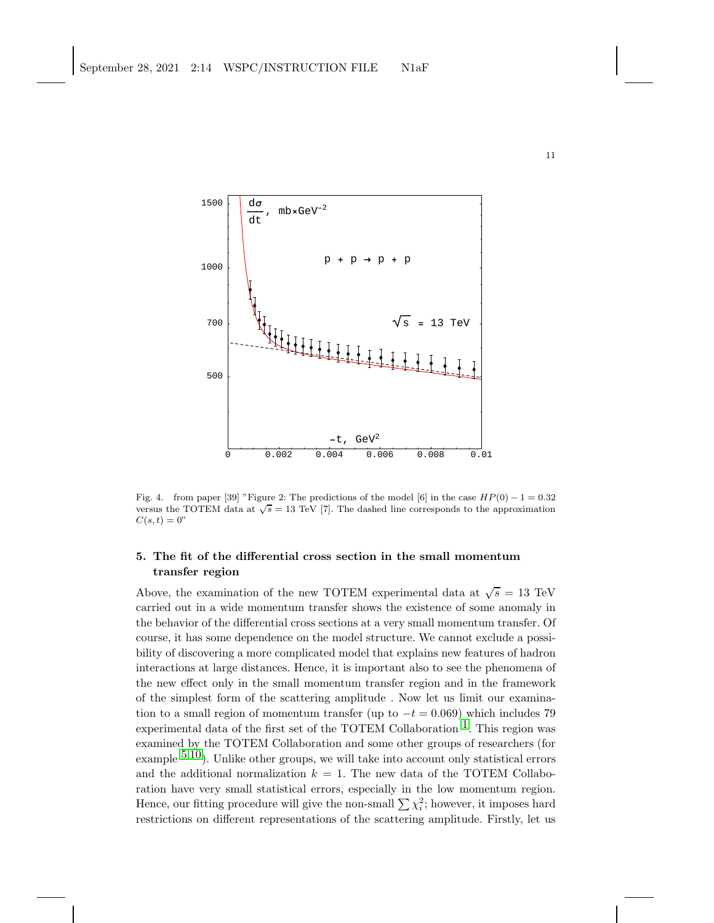

Fig. 4. from paper [39] "Figure 2: The predictions of the model [6] in the case  $HP(0) - 1 = 0.32$ versus the TOTEM data at  $\sqrt{s} = 13$  TeV [7]. The dashed line corresponds to the approximation  $C(s, t) = 0"$ 

# 5. The fit of the differential cross section in the small momentum transfer region

Above, the examination of the new TOTEM experimental data at  $\sqrt{s} = 13$  TeV carried out in a wide momentum transfer shows the existence of some anomaly in the behavior of the differential cross sections at a very small momentum transfer. Of course, it has some dependence on the model structure. We cannot exclude a possibility of discovering a more complicated model that explains new features of hadron interactions at large distances. Hence, it is important also to see the phenomena of the new effect only in the small momentum transfer region and in the framework of the simplest form of the scattering amplitude . Now let us limit our examination to a small region of momentum transfer (up to  $-t = 0.069$ ) which includes 79 experimental data of the first set of the TOTEM Collaboration  $<sup>1</sup>$ . This region was</sup> examined by the TOTEM Collaboration and some other groups of researchers (for example  $5,10$  $5,10$ ). Unlike other groups, we will take into account only statistical errors and the additional normalization  $k = 1$ . The new data of the TOTEM Collaboration have very small statistical errors, especially in the low momentum region. Hence, our fitting procedure will give the non-small  $\sum \chi_i^2$ ; however, it imposes hard restrictions on different representations of the scattering amplitude. Firstly, let us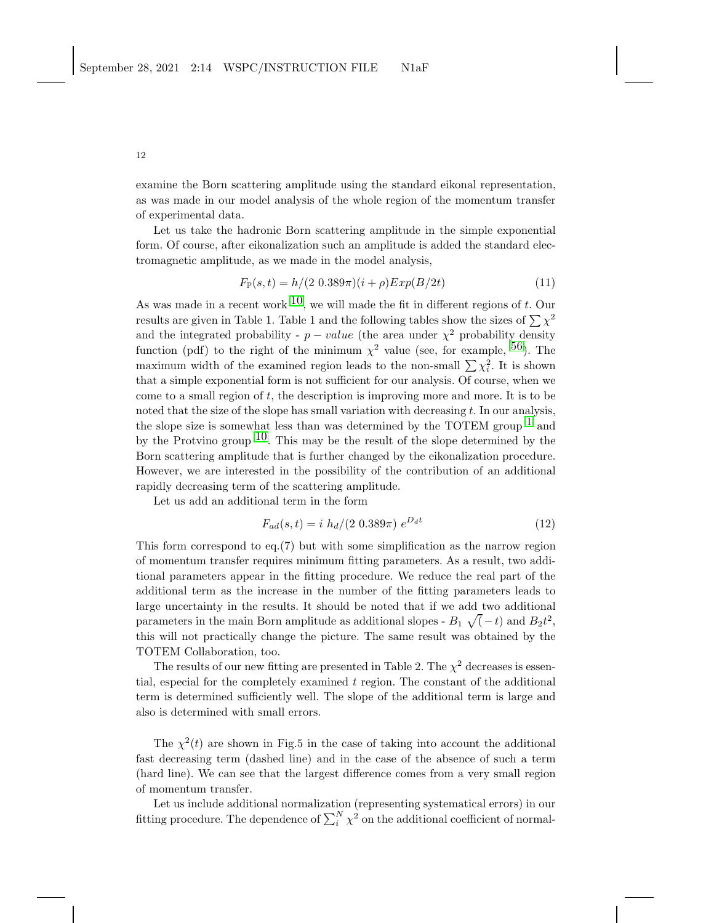examine the Born scattering amplitude using the standard eikonal representation, as was made in our model analysis of the whole region of the momentum transfer of experimental data.

Let us take the hadronic Born scattering amplitude in the simple exponential form. Of course, after eikonalization such an amplitude is added the standard electromagnetic amplitude, as we made in the model analysis,

$$
F_{\mathbb{P}}(s,t) = h/(2 \ 0.389\pi)(i+\rho)Exp(B/2t)
$$
\n(11)

As was made in a recent work  $10$ , we will made the fit in different regions of t. Our results are given in Table 1. Table 1 and the following tables show the sizes of  $\sum \chi^2$ and the integrated probability -  $p-value$  (the area under  $\chi^2$  probability density function (pdf) to the right of the minimum  $\chi^2$  value (see, for example,  $56$ ). The maximum width of the examined region leads to the non-small  $\sum \chi_i^2$ . It is shown that a simple exponential form is not sufficient for our analysis. Of course, when we come to a small region of  $t$ , the description is improving more and more. It is to be noted that the size of the slope has small variation with decreasing  $t$ . In our analysis, the slope size is somewhat less than was determined by the TOTEM group  $<sup>1</sup>$  $<sup>1</sup>$  $<sup>1</sup>$  and</sup> by the Protvino group  $10$ . This may be the result of the slope determined by the Born scattering amplitude that is further changed by the eikonalization procedure. However, we are interested in the possibility of the contribution of an additional rapidly decreasing term of the scattering amplitude.

Let us add an additional term in the form

$$
F_{ad}(s,t) = i \ h_d/(2 \ 0.389\pi) \ e^{D_d t} \tag{12}
$$

This form correspond to eq.(7) but with some simplification as the narrow region of momentum transfer requires minimum fitting parameters. As a result, two additional parameters appear in the fitting procedure. We reduce the real part of the additional term as the increase in the number of the fitting parameters leads to large uncertainty in the results. It should be noted that if we add two additional parameters in the main Born amplitude as additional slopes -  $B_1 \sqrt{(-t)}$  and  $B_2 t^2$ , this will not practically change the picture. The same result was obtained by the TOTEM Collaboration, too.

The results of our new fitting are presented in Table 2. The  $\chi^2$  decreases is essential, especial for the completely examined  $t$  region. The constant of the additional term is determined sufficiently well. The slope of the additional term is large and also is determined with small errors.

The  $\chi^2(t)$  are shown in Fig.5 in the case of taking into account the additional fast decreasing term (dashed line) and in the case of the absence of such a term (hard line). We can see that the largest difference comes from a very small region of momentum transfer.

Let us include additional normalization (representing systematical errors) in our fitting procedure. The dependence of  $\sum_{i}^{N} \chi^2$  on the additional coefficient of normal-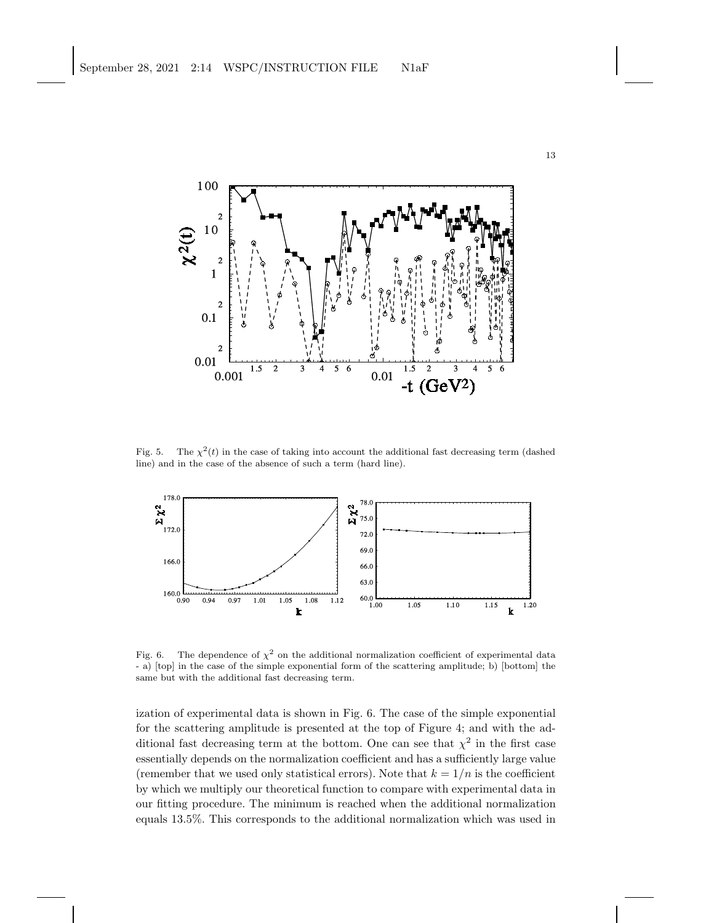

Fig. 5. The  $\chi^2(t)$  in the case of taking into account the additional fast decreasing term (dashed line) and in the case of the absence of such a term (hard line).



Fig. 6. The dependence of  $\chi^2$  on the additional normalization coefficient of experimental data - a) [top] in the case of the simple exponential form of the scattering amplitude; b) [bottom] the same but with the additional fast decreasing term.

ization of experimental data is shown in Fig. 6. The case of the simple exponential for the scattering amplitude is presented at the top of Figure 4; and with the additional fast decreasing term at the bottom. One can see that  $\chi^2$  in the first case essentially depends on the normalization coefficient and has a sufficiently large value (remember that we used only statistical errors). Note that  $k = 1/n$  is the coefficient by which we multiply our theoretical function to compare with experimental data in our fitting procedure. The minimum is reached when the additional normalization equals 13.5%. This corresponds to the additional normalization which was used in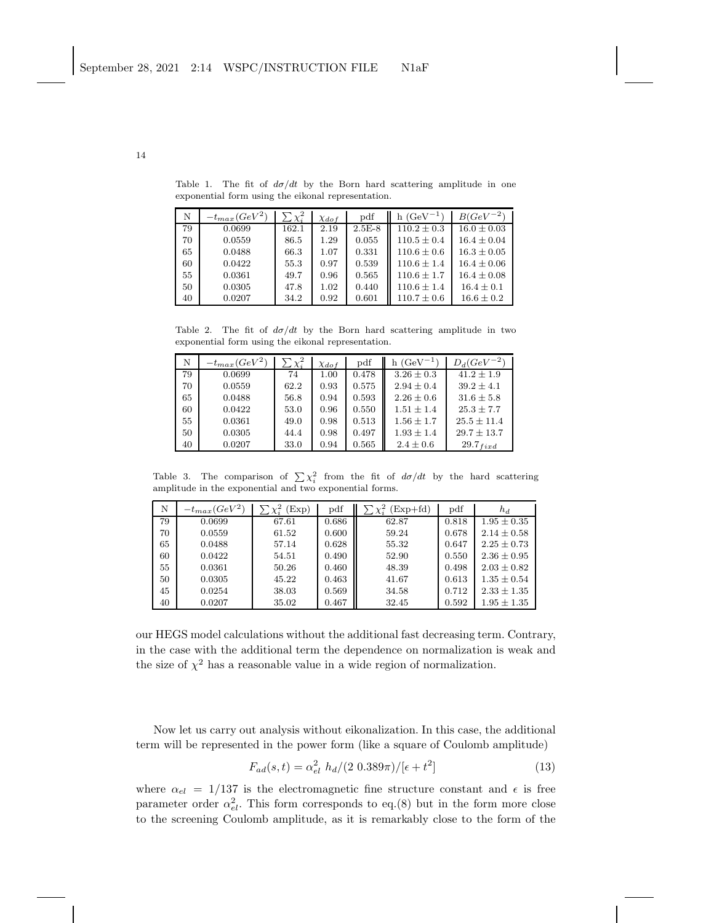| N  | $-t_{max}(GeV^2)$ |       | $\chi_{dof}$ | pdf      | $(GeV^{-1})$<br>h | $B(GeV^{-2})$   |
|----|-------------------|-------|--------------|----------|-------------------|-----------------|
| 79 | 0.0699            | 162.1 | 2.19         | $2.5E-8$ | $110.2 + 0.3$     | $16.0 \pm 0.03$ |
| 70 | 0.0559            | 86.5  | 1.29         | 0.055    | $110.5 \pm 0.4$   | $16.4 \pm 0.04$ |
| 65 | 0.0488            | 66.3  | 1.07         | 0.331    | $110.6 \pm 0.6$   | $16.3 \pm 0.05$ |
| 60 | 0.0422            | 55.3  | 0.97         | 0.539    | $110.6 \pm 1.4$   | $16.4 \pm 0.06$ |
| 55 | 0.0361            | 49.7  | 0.96         | 0.565    | $110.6 \pm 1.7$   | $16.4 \pm 0.08$ |
| 50 | 0.0305            | 47.8  | 1.02         | 0.440    | $110.6 \pm 1.4$   | $16.4 \pm 0.1$  |
| 40 | 0.0207            | 34.2  | 0.92         | 0.601    | $110.7 \pm 0.6$   | $16.6 \pm 0.2$  |

Table 1. The fit of  $d\sigma/dt$  by the Born hard scattering amplitude in one exponential form using the eikonal representation.

Table 2. The fit of  $d\sigma/dt$  by the Born hard scattering amplitude in two exponential form using the eikonal representation.

| N  | $-t_{max}(GeV^2)$ | $\Sigma \chi_i^2$ | $\chi_{dof}$ | pdf   | h $(GeV^{-1})$ | $D_d(GeV^{-2})$ |
|----|-------------------|-------------------|--------------|-------|----------------|-----------------|
| 79 | 0.0699            | 74                | 1.00         | 0.478 | $3.26 \pm 0.3$ | $41.2 + 1.9$    |
| 70 | 0.0559            | 62.2              | 0.93         | 0.575 | $2.94 + 0.4$   | $39.2 + 4.1$    |
| 65 | 0.0488            | 56.8              | 0.94         | 0.593 | $2.26 + 0.6$   | $31.6 \pm 5.8$  |
| 60 | 0.0422            | 53.0              | 0.96         | 0.550 | $1.51 + 1.4$   | $25.3 + 7.7$    |
| 55 | 0.0361            | 49.0              | 0.98         | 0.513 | $1.56 + 1.7$   | $25.5 + 11.4$   |
| 50 | 0.0305            | 44.4              | 0.98         | 0.497 | $1.93 \pm 1.4$ | $29.7 + 13.7$   |
| 40 | 0.0207            | 33.0              | 0.94         | 0.565 | $2.4 \pm 0.6$  | $29.7_{fixd}$   |

Table 3. The comparison of  $\sum \chi_i^2$  from the fit of  $d\sigma/dt$  by the hard scattering amplitude in the exponential and two exponential forms.

| N  | $-t_{max}(GeV^2)$ | Exp)<br>Ĺá. | pdf   | $Exp+fd$<br>$\chi^{\cal L}_i$ | pdf   | $h_d$           |
|----|-------------------|-------------|-------|-------------------------------|-------|-----------------|
| 79 | 0.0699            | 67.61       | 0.686 | 62.87                         | 0.818 | $1.95 \pm 0.35$ |
| 70 | 0.0559            | 61.52       | 0.600 | 59.24                         | 0.678 | $2.14 \pm 0.58$ |
| 65 | 0.0488            | 57.14       | 0.628 | 55.32                         | 0.647 | $2.25 \pm 0.73$ |
| 60 | 0.0422            | 54.51       | 0.490 | 52.90                         | 0.550 | $2.36 \pm 0.95$ |
| 55 | 0.0361            | 50.26       | 0.460 | 48.39                         | 0.498 | $2.03 \pm 0.82$ |
| 50 | 0.0305            | 45.22       | 0.463 | 41.67                         | 0.613 | $1.35 + 0.54$   |
| 45 | 0.0254            | 38.03       | 0.569 | 34.58                         | 0.712 | $2.33 \pm 1.35$ |
| 40 | 0.0207            | 35.02       | 0.467 | 32.45                         | 0.592 | $1.95 \pm 1.35$ |

our HEGS model calculations without the additional fast decreasing term. Contrary, in the case with the additional term the dependence on normalization is weak and the size of  $\chi^2$  has a reasonable value in a wide region of normalization.

Now let us carry out analysis without eikonalization. In this case, the additional term will be represented in the power form (like a square of Coulomb amplitude)

$$
F_{ad}(s,t) = \alpha_{el}^2 h_d/(2 \ 0.389\pi)/[\epsilon + t^2]
$$
\n(13)

where  $\alpha_{el} = 1/137$  is the electromagnetic fine structure constant and  $\epsilon$  is free parameter order  $\alpha_{el}^2$ . This form corresponds to eq.(8) but in the form more close to the screening Coulomb amplitude, as it is remarkably close to the form of the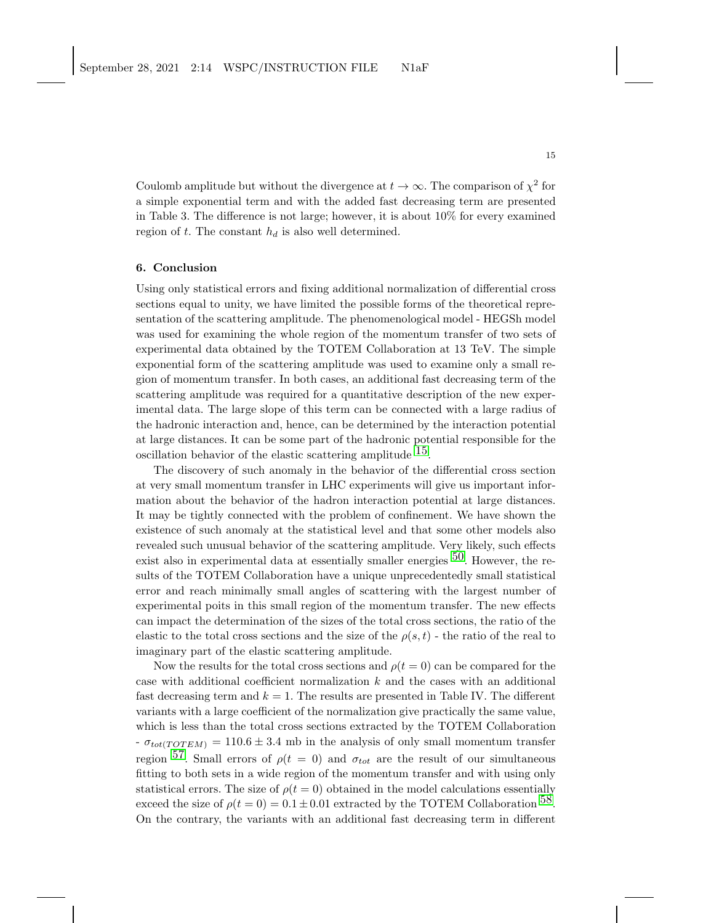Coulomb amplitude but without the divergence at  $t \to \infty$ . The comparison of  $\chi^2$  for a simple exponential term and with the added fast decreasing term are presented in Table 3. The difference is not large; however, it is about 10% for every examined region of t. The constant  $h_d$  is also well determined.

#### 6. Conclusion

Using only statistical errors and fixing additional normalization of differential cross sections equal to unity, we have limited the possible forms of the theoretical representation of the scattering amplitude. The phenomenological model - HEGSh model was used for examining the whole region of the momentum transfer of two sets of experimental data obtained by the TOTEM Collaboration at 13 TeV. The simple exponential form of the scattering amplitude was used to examine only a small region of momentum transfer. In both cases, an additional fast decreasing term of the scattering amplitude was required for a quantitative description of the new experimental data. The large slope of this term can be connected with a large radius of the hadronic interaction and, hence, can be determined by the interaction potential at large distances. It can be some part of the hadronic potential responsible for the oscillation behavior of the elastic scattering amplitude  $15$ .

The discovery of such anomaly in the behavior of the differential cross section at very small momentum transfer in LHC experiments will give us important information about the behavior of the hadron interaction potential at large distances. It may be tightly connected with the problem of confinement. We have shown the existence of such anomaly at the statistical level and that some other models also revealed such unusual behavior of the scattering amplitude. Very likely, such effects exist also in experimental data at essentially smaller energies  $50$ . However, the results of the TOTEM Collaboration have a unique unprecedentedly small statistical error and reach minimally small angles of scattering with the largest number of experimental poits in this small region of the momentum transfer. The new effects can impact the determination of the sizes of the total cross sections, the ratio of the elastic to the total cross sections and the size of the  $\rho(s,t)$  - the ratio of the real to imaginary part of the elastic scattering amplitude.

Now the results for the total cross sections and  $\rho(t=0)$  can be compared for the case with additional coefficient normalization  $k$  and the cases with an additional fast decreasing term and  $k = 1$ . The results are presented in Table IV. The different variants with a large coefficient of the normalization give practically the same value, which is less than the total cross sections extracted by the TOTEM Collaboration  $\sigma_{tot(TOTEM)} = 110.6 \pm 3.4$  mb in the analysis of only small momentum transfer region <sup>57</sup>. Small errors of  $\rho(t = 0)$  and  $\sigma_{tot}$  are the result of our simultaneous fitting to both sets in a wide region of the momentum transfer and with using only statistical errors. The size of  $\rho(t=0)$  obtained in the model calculations essentially exceed the size of  $\rho(t=0) = 0.1 \pm 0.01$  extracted by the TOTEM Collaboration <sup>58</sup>. On the contrary, the variants with an additional fast decreasing term in different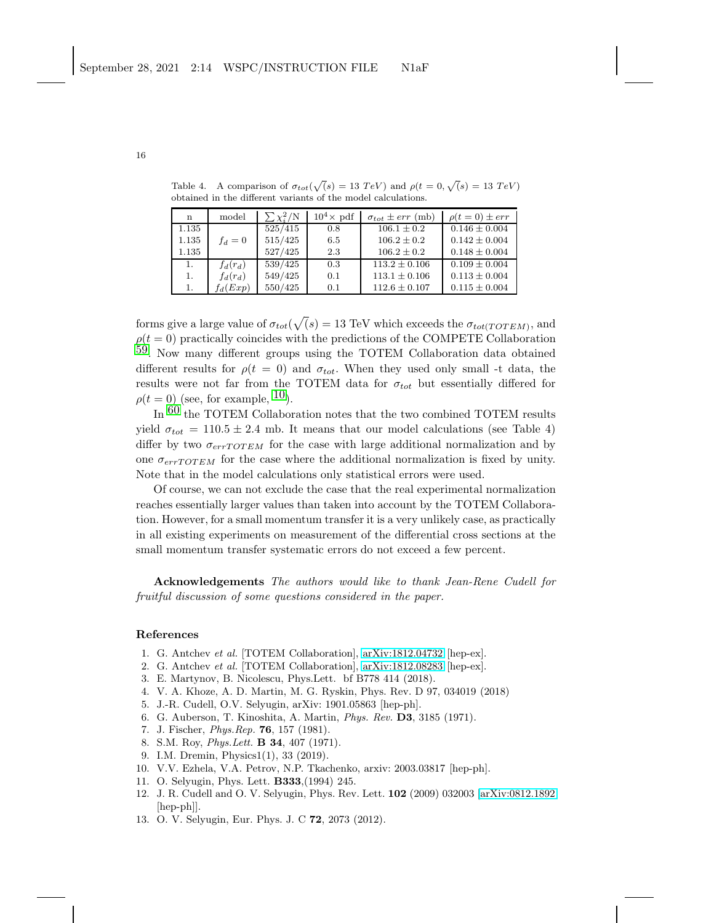| $\mathbf n$ | model      | $\sum \chi_i^2/N$ | $10^4 \times \text{pdf}$ | $\sigma_{tot} \pm err$ (mb) | $\rho(t=0) \pm err$ |
|-------------|------------|-------------------|--------------------------|-----------------------------|---------------------|
| 1.135       |            | 525/415           | 0.8                      | $106.1 \pm 0.2$             | $0.146 \pm 0.004$   |
| 1.135       | $f_d=0$    | 515/425           | 6.5                      | $106.2 \pm 0.2$             | $0.142 \pm 0.004$   |
| 1.135       |            | 527/425           | 2.3                      | $106.2 \pm 0.2$             | $0.148 \pm 0.004$   |
| 1.          | $f_d(r_d)$ | 539/425           | 0.3                      | $113.2 \pm 0.106$           | $0.109 \pm 0.004$   |
| 1.          | $f_d(r_d)$ | 549/425           | 0.1                      | $113.1 \pm 0.106$           | $0.113 \pm 0.004$   |
| 1.          | $f_d(Exp)$ | 550/425           | 0.1                      | $112.6 \pm 0.107$           | $0.115 \pm 0.004$   |

Table 4. A comparison of  $\sigma_{tot}(\sqrt{s}) = 13 TeV$  and  $\rho(t = 0, \sqrt{s}) = 13 TeV$ obtained in the different variants of the model calculations.

forms give a large value of  $\sigma_{tot}(\sqrt(s) = 13 \text{ TeV}$  which exceeds the  $\sigma_{tot(TOTEM)}$ , and  $\rho(t=0)$  practically coincides with the predictions of the COMPETE Collaboration [59.](#page-17-3) Now many different groups using the TOTEM Collaboration data obtained different results for  $\rho(t = 0)$  and  $\sigma_{tot}$ . When they used only small -t data, the results were not far from the TOTEM data for  $\sigma_{tot}$  but essentially differed for  $\rho(t=0)$  (see, for example,  $10$ ).

In  $60$  the TOTEM Collaboration notes that the two combined TOTEM results yield  $\sigma_{tot} = 110.5 \pm 2.4$  mb. It means that our model calculations (see Table 4) differ by two  $\sigma_{errTOTEM}$  for the case with large additional normalization and by one  $\sigma_{errTOTEM}$  for the case where the additional normalization is fixed by unity. Note that in the model calculations only statistical errors were used.

Of course, we can not exclude the case that the real experimental normalization reaches essentially larger values than taken into account by the TOTEM Collaboration. However, for a small momentum transfer it is a very unlikely case, as practically in all existing experiments on measurement of the differential cross sections at the small momentum transfer systematic errors do not exceed a few percent.

Acknowledgements The authors would like to thank Jean-Rene Cudell for fruitful discussion of some questions considered in the paper.

## <span id="page-15-0"></span>References

- <span id="page-15-1"></span>1. G. Antchev et al. [TOTEM Collaboration], [arXiv:1812.04732](http://arxiv.org/abs/1812.04732) [hep-ex].
- <span id="page-15-2"></span>2. G. Antchev et al. [TOTEM Collaboration], [arXiv:1812.08283](http://arxiv.org/abs/1812.08283) [hep-ex].
- <span id="page-15-3"></span>3. E. Martynov, B. Nicolescu, Phys.Lett. bf B778 414 (2018).
- <span id="page-15-4"></span>4. V. A. Khoze, A. D. Martin, M. G. Ryskin, Phys. Rev. D 97, 034019 (2018)
- <span id="page-15-5"></span>5. J.-R. Cudell, O.V. Selyugin, arXiv: 1901.05863 [hep-ph].
- <span id="page-15-6"></span>6. G. Auberson, T. Kinoshita, A. Martin, Phys. Rev. D3, 3185 (1971).
- <span id="page-15-7"></span>7. J. Fischer, Phys.Rep. 76, 157 (1981).
- <span id="page-15-8"></span>8. S.M. Roy, Phys.Lett. B 34, 407 (1971).
- <span id="page-15-9"></span>9. I.M. Dremin, Physics1(1), 33 (2019).
- <span id="page-15-10"></span>10. V.V. Ezhela, V.A. Petrov, N.P. Tkachenko, arxiv: 2003.03817 [hep-ph].
- <span id="page-15-11"></span>11. O. Selyugin, Phys. Lett. B333,(1994) 245.
- 12. J. R. Cudell and O. V. Selyugin, Phys. Rev. Lett. 102 (2009) 032003 [\[arXiv:0812.1892](http://arxiv.org/abs/0812.1892) [hep-ph]].
- <span id="page-15-12"></span>13. O. V. Selyugin, Eur. Phys. J. C 72, 2073 (2012).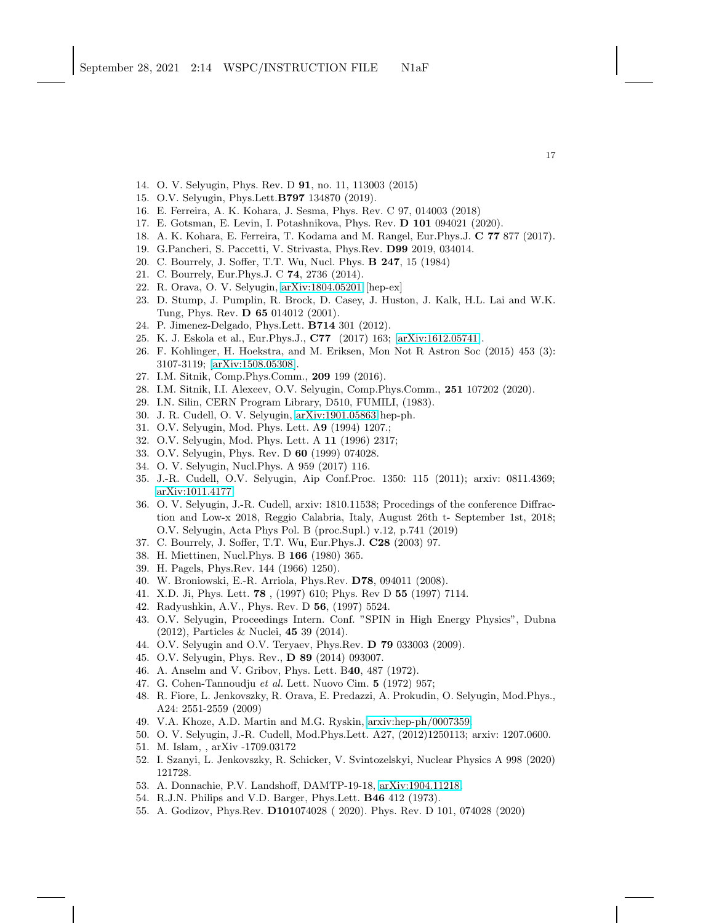- <span id="page-16-1"></span><span id="page-16-0"></span>14. O. V. Selyugin, Phys. Rev. D 91, no. 11, 113003 (2015)
- <span id="page-16-2"></span>15. O.V. Selyugin, Phys.Lett.B797 134870 (2019).
- <span id="page-16-3"></span>16. E. Ferreira, A. K. Kohara, J. Sesma, Phys. Rev. C 97, 014003 (2018)
- <span id="page-16-4"></span>17. E. Gotsman, E. Levin, I. Potashnikova, Phys. Rev. D 101 094021 (2020).
- <span id="page-16-5"></span>18. A. K. Kohara, E. Ferreira, T. Kodama and M. Rangel, Eur.Phys.J. C 77 877 (2017).
- <span id="page-16-6"></span>19. G.Pancheri, S. Paccetti, V. Strivasta, Phys.Rev. D99 2019, 034014.
- <span id="page-16-7"></span>20. C. Bourrely, J. Soffer, T.T. Wu, Nucl. Phys. B 247, 15 (1984)
- <span id="page-16-8"></span>21. C. Bourrely, Eur.Phys.J. C 74, 2736 (2014).
- <span id="page-16-9"></span>22. R. Orava, O. V. Selyugin, [arXiv:1804.05201](http://arxiv.org/abs/1804.05201) [hep-ex]
- 23. D. Stump, J. Pumplin, R. Brock, D. Casey, J. Huston, J. Kalk, H.L. Lai and W.K. Tung, Phys. Rev. D 65 014012 (2001).
- <span id="page-16-11"></span><span id="page-16-10"></span>24. P. Jimenez-Delgado, Phys.Lett. B714 301 (2012).
- <span id="page-16-12"></span>25. K. J. Eskola et al., Eur.Phys.J., C77 (2017) 163; [\[arXiv:1612.05741\]](http://arxiv.org/abs/1612.05741).
- 26. F. Kohlinger, H. Hoekstra, and M. Eriksen, Mon Not R Astron Soc (2015) 453 (3): 3107-3119; [\[arXiv:1508.05308\]](http://arxiv.org/abs/1508.05308).
- <span id="page-16-14"></span><span id="page-16-13"></span>27. I.M. Sitnik, Comp.Phys.Comm., 209 199 (2016).
- <span id="page-16-15"></span>28. I.M. Sitnik, I.I. Alexeev, O.V. Selyugin, Comp.Phys.Comm., 251 107202 (2020).
- <span id="page-16-16"></span>29. I.N. Silin, CERN Program Library, D510, FUMILI, (1983).
- <span id="page-16-17"></span>30. J. R. Cudell, O. V. Selyugin, [arXiv:1901.05863](http://arxiv.org/abs/1901.05863) hep-ph.
- <span id="page-16-18"></span>31. O.V. Selyugin, Mod. Phys. Lett. A9 (1994) 1207.;
- <span id="page-16-19"></span>32. O.V. Selyugin, Mod. Phys. Lett. A 11 (1996) 2317;
- <span id="page-16-20"></span>33. O.V. Selyugin, Phys. Rev. D 60 (1999) 074028.
- 34. O. V. Selyugin, Nucl.Phys. A 959 (2017) 116.
- 35. J.-R. Cudell, O.V. Selyugin, Aip Conf.Proc. 1350: 115 (2011); arxiv: 0811.4369; [arXiv:1011.4177.](http://arxiv.org/abs/1011.4177)
- 36. O. V. Selyugin, J.-R. Cudell, arxiv: 1810.11538; Procedings of the conference Diffraction and Low-x 2018, Reggio Calabria, Italy, August 26th t- September 1st, 2018; O.V. Selyugin, Acta Phys Pol. B (proc.Supl.) v.12, p.741 (2019)
- <span id="page-16-22"></span><span id="page-16-21"></span>37. C. Bourrely, J. Soffer, T.T. Wu, Eur.Phys.J. C28 (2003) 97.
- <span id="page-16-23"></span>38. H. Miettinen, Nucl.Phys. B 166 (1980) 365.
- <span id="page-16-24"></span>39. H. Pagels, Phys.Rev. 144 (1966) 1250).
- <span id="page-16-25"></span>40. W. Broniowski, E.-R. Arriola, Phys.Rev. D78, 094011 (2008).
- <span id="page-16-26"></span>41. X.D. Ji, Phys. Lett. 78 , (1997) 610; Phys. Rev D 55 (1997) 7114.
- <span id="page-16-27"></span>42. Radyushkin, A.V., Phys. Rev. D 56, (1997) 5524.
- 43. O.V. Selyugin, Proceedings Intern. Conf. "SPIN in High Energy Physics", Dubna (2012), Particles & Nuclei, 45 39 (2014).
- <span id="page-16-29"></span><span id="page-16-28"></span>44. O.V. Selyugin and O.V. Teryaev, Phys.Rev. D 79 033003 (2009).
- <span id="page-16-30"></span>45. O.V. Selyugin, Phys. Rev., D 89 (2014) 093007.
- <span id="page-16-31"></span>46. A. Anselm and V. Gribov, Phys. Lett. B40, 487 (1972).
- <span id="page-16-32"></span>47. G. Cohen-Tannoudju et al. Lett. Nuovo Cim. 5 (1972) 957;
- 48. R. Fiore, L. Jenkovszky, R. Orava, E. Predazzi, A. Prokudin, O. Selyugin, Mod.Phys., A24: 2551-2559 (2009)
- <span id="page-16-39"></span><span id="page-16-33"></span>49. V.A. Khoze, A.D. Martin and M.G. Ryskin, [arxiv:hep-ph/0007359.](http://arxiv.org/abs/hep-ph/0007359)
- <span id="page-16-34"></span>50. O. V. Selyugin, J.-R. Cudell, Mod.Phys.Lett. A27, (2012)1250113; arxiv: 1207.0600.
- <span id="page-16-35"></span>51. M. Islam, , arXiv -1709.03172
- <span id="page-16-36"></span>52. I. Szanyi, L. Jenkovszky, R. Schicker, V. Svintozelskyi, Nuclear Physics A 998 (2020) 121728.
- <span id="page-16-37"></span>53. A. Donnachie, P.V. Landshoff, DAMTP-19-18, [arXiv:1904.11218.](http://arxiv.org/abs/1904.11218)
- <span id="page-16-38"></span>54. R.J.N. Philips and V.D. Barger, Phys.Lett. B46 412 (1973).
- 55. A. Godizov, Phys.Rev. D101074028 ( 2020). Phys. Rev. D 101, 074028 (2020)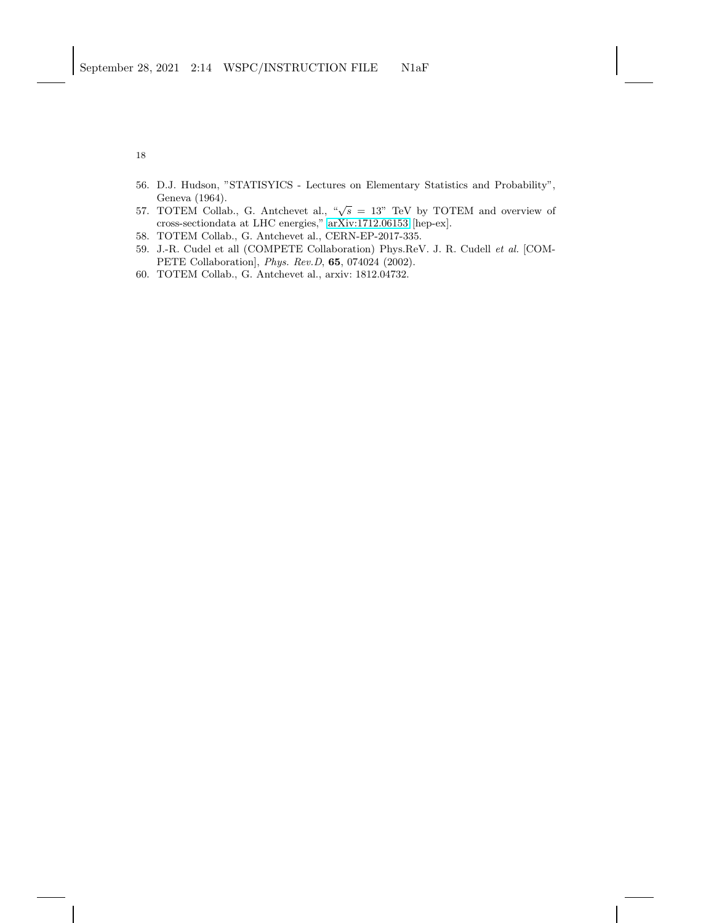- <span id="page-17-0"></span>56. D.J. Hudson, "STATISYICS - Lectures on Elementary Statistics and Probability", Geneva (1964).
- <span id="page-17-1"></span>57. TOTEM Collab., G. Antchevet al., " $\sqrt{s}$  = 13" TeV by TOTEM and overview of cross-sectiondata at LHC energies," [arXiv:1712.06153](http://arxiv.org/abs/1712.06153) [hep-ex].
- <span id="page-17-3"></span><span id="page-17-2"></span>58. TOTEM Collab., G. Antchevet al., CERN-EP-2017-335.
- 59. J.-R. Cudel et all (COMPETE Collaboration) Phys.ReV. J. R. Cudell et al. [COM-PETE Collaboration], Phys. Rev.D, 65, 074024 (2002).
- <span id="page-17-4"></span>60. TOTEM Collab., G. Antchevet al., arxiv: 1812.04732.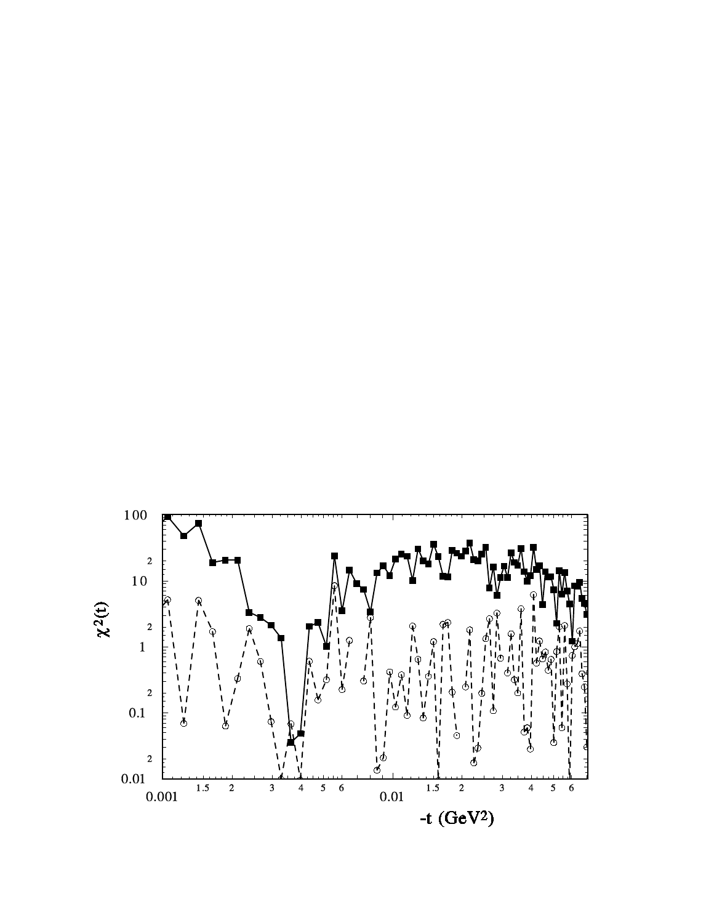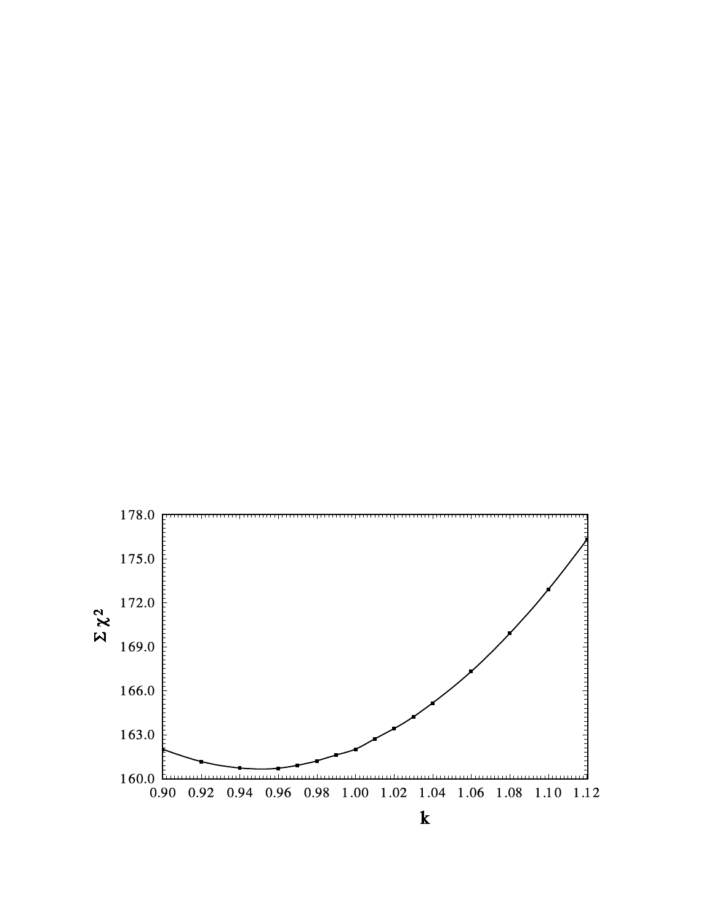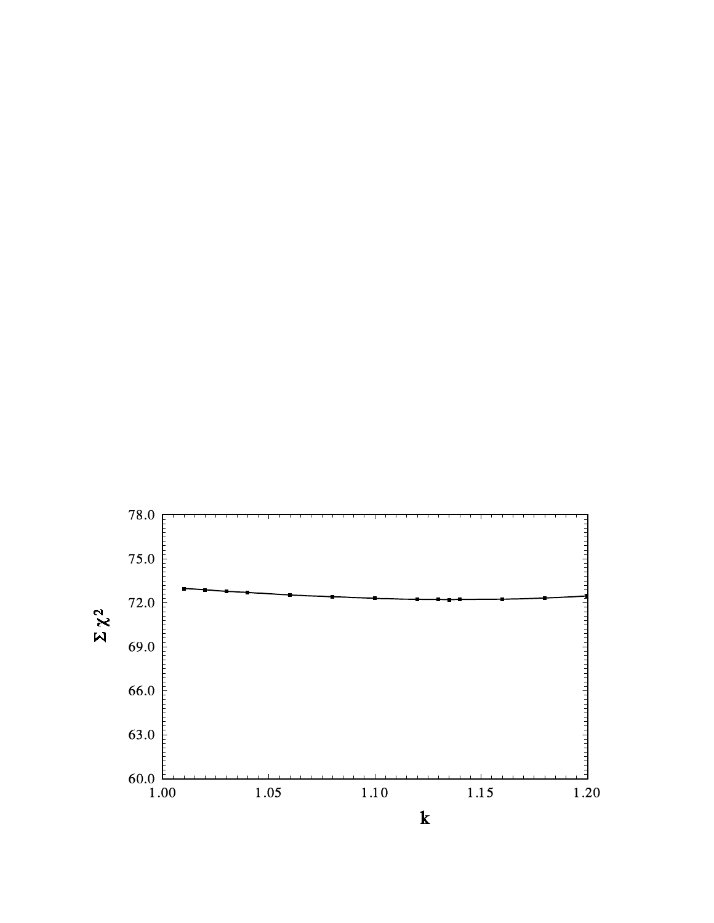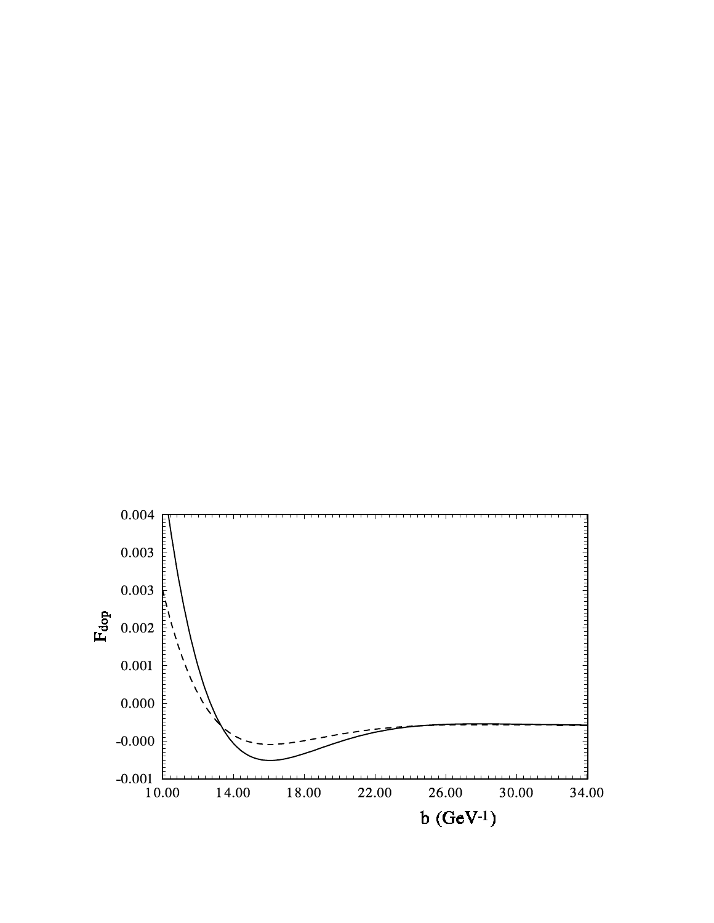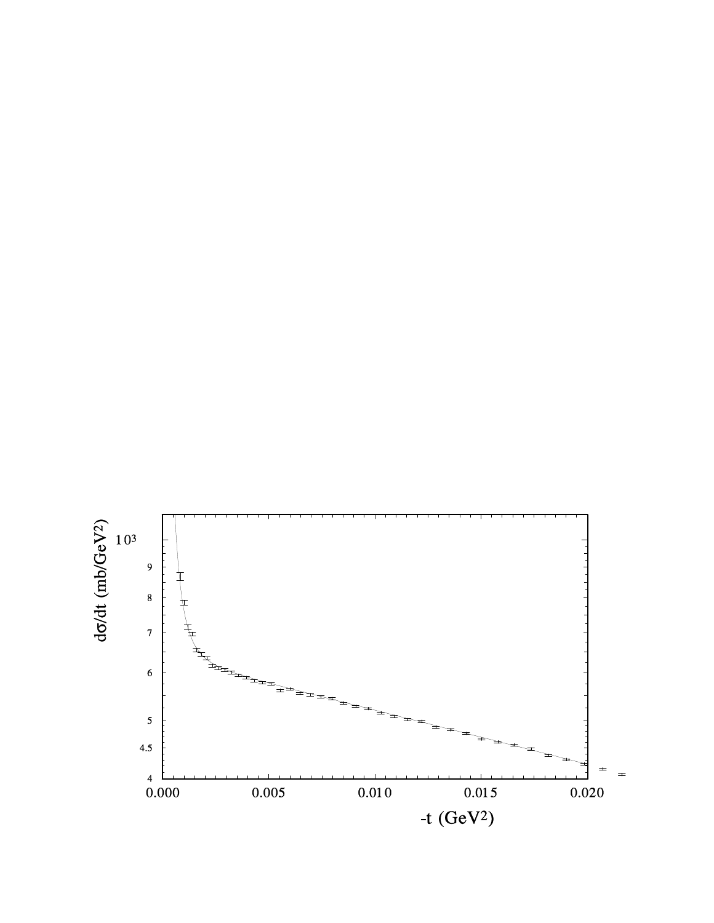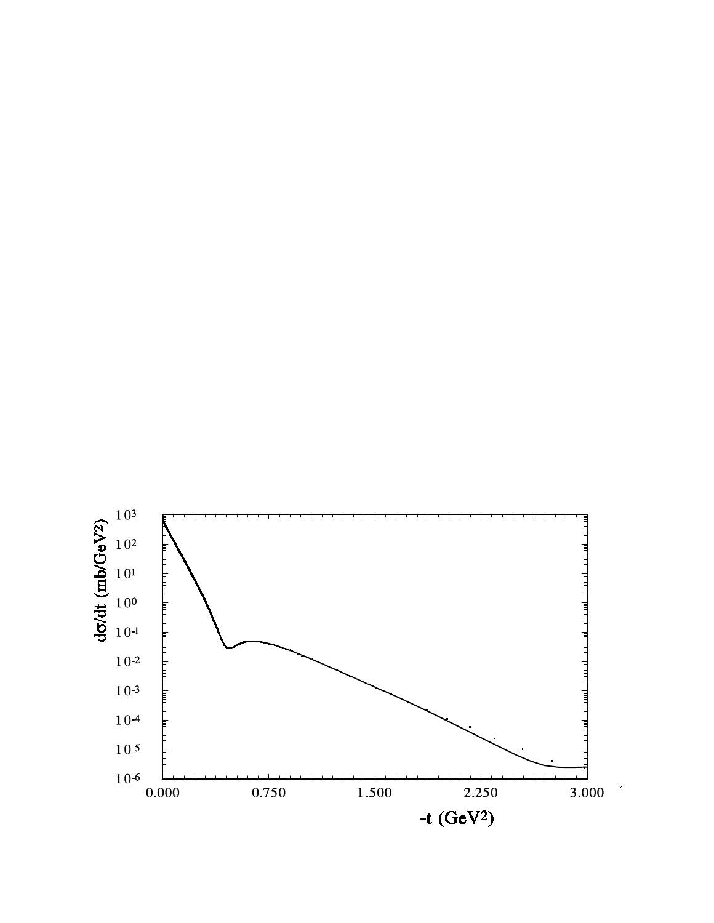